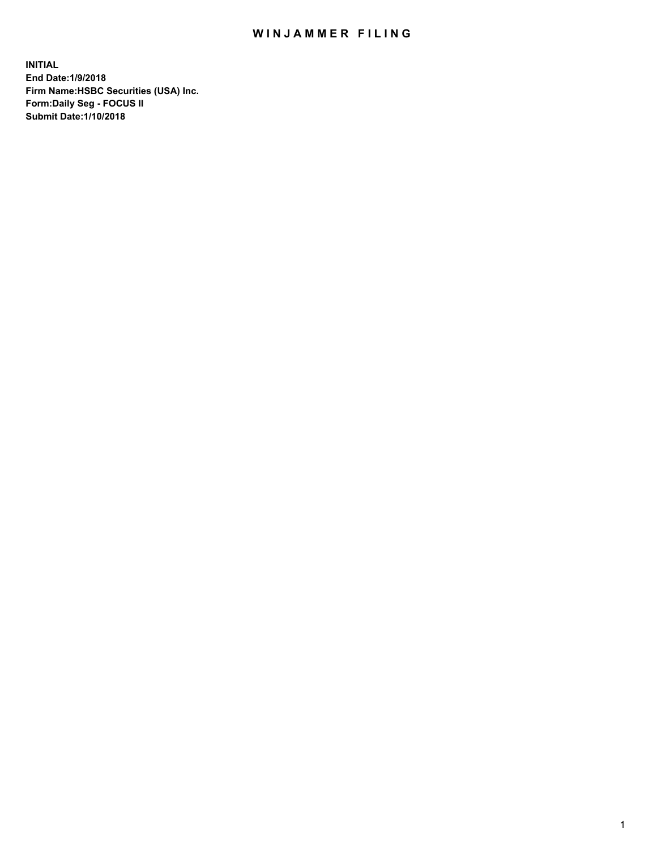## WIN JAMMER FILING

**INITIAL End Date:1/9/2018 Firm Name:HSBC Securities (USA) Inc. Form:Daily Seg - FOCUS II Submit Date:1/10/2018**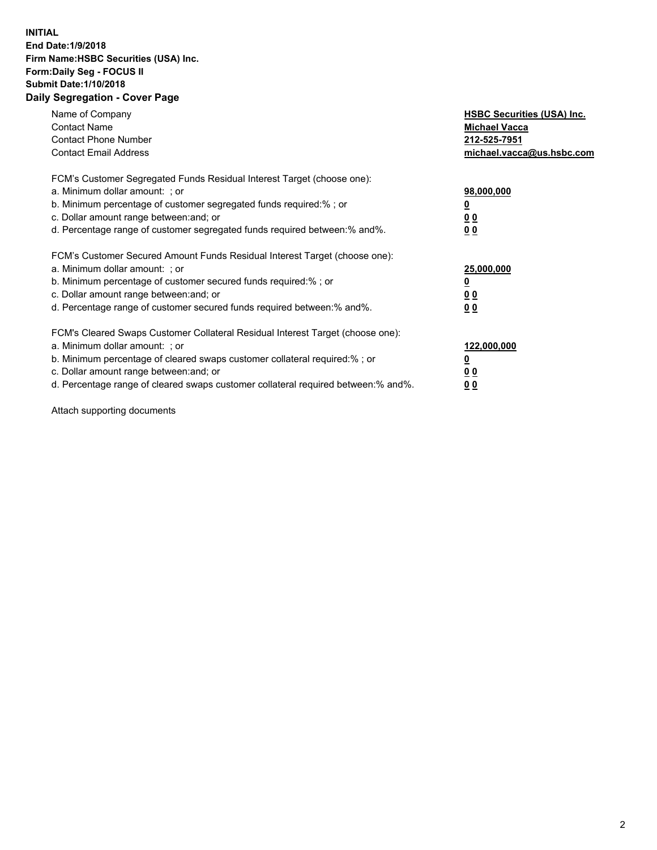## **INITIAL End Date:1/9/2018 Firm Name:HSBC Securities (USA) Inc. Form:Daily Seg - FOCUS II Submit Date:1/10/2018 Daily Segregation - Cover Page**

| Name of Company<br><b>Contact Name</b><br><b>Contact Phone Number</b><br><b>Contact Email Address</b>                                                                                                                                                                                                                         | <b>HSBC Securities (USA) Inc.</b><br><b>Michael Vacca</b><br>212-525-7951<br>michael.vacca@us.hsbc.com |
|-------------------------------------------------------------------------------------------------------------------------------------------------------------------------------------------------------------------------------------------------------------------------------------------------------------------------------|--------------------------------------------------------------------------------------------------------|
| FCM's Customer Segregated Funds Residual Interest Target (choose one):<br>a. Minimum dollar amount: ; or<br>b. Minimum percentage of customer segregated funds required:%; or<br>c. Dollar amount range between: and; or<br>d. Percentage range of customer segregated funds required between:% and%.                         | 98,000,000<br><u>0</u><br>0 <sub>0</sub><br>0 <sub>0</sub>                                             |
| FCM's Customer Secured Amount Funds Residual Interest Target (choose one):<br>a. Minimum dollar amount: ; or<br>b. Minimum percentage of customer secured funds required:%; or<br>c. Dollar amount range between: and; or<br>d. Percentage range of customer secured funds required between: % and %.                         | 25,000,000<br><u>00</u><br>0 <sub>0</sub>                                                              |
| FCM's Cleared Swaps Customer Collateral Residual Interest Target (choose one):<br>a. Minimum dollar amount: ; or<br>b. Minimum percentage of cleared swaps customer collateral required:%; or<br>c. Dollar amount range between: and; or<br>d. Percentage range of cleared swaps customer collateral required between:% and%. | 122,000,000<br><u>0</u><br><u>00</u><br><u>0 0</u>                                                     |

Attach supporting documents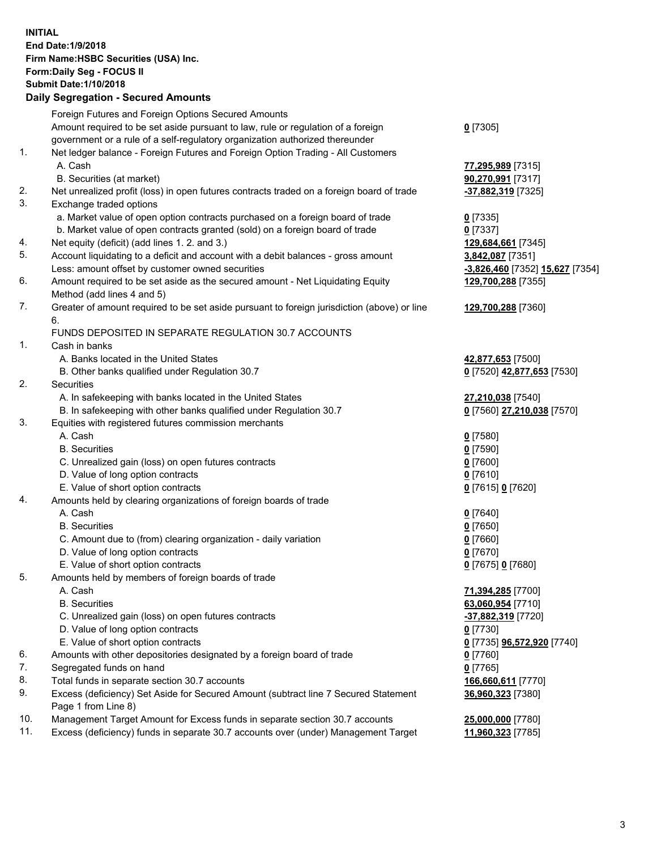**INITIAL End Date:1/9/2018 Firm Name:HSBC Securities (USA) Inc. Form:Daily Seg - FOCUS II Submit Date:1/10/2018 Daily Segregation - Secured Amounts**

Foreign Futures and Foreign Options Secured Amounts Amount required to be set aside pursuant to law, rule or regulation of a foreign government or a rule of a self-regulatory organization authorized thereunder **0** [7305] 1. Net ledger balance - Foreign Futures and Foreign Option Trading - All Customers A. Cash **77,295,989** [7315] B. Securities (at market) **90,270,991** [7317] 2. Net unrealized profit (loss) in open futures contracts traded on a foreign board of trade **-37,882,319** [7325] 3. Exchange traded options a. Market value of open option contracts purchased on a foreign board of trade **0** [7335] b. Market value of open contracts granted (sold) on a foreign board of trade **0** [7337] 4. Net equity (deficit) (add lines 1. 2. and 3.) **129,684,661** [7345] 5. Account liquidating to a deficit and account with a debit balances - gross amount **3,842,087** [7351] Less: amount offset by customer owned securities **-3,826,460** [7352] **15,627** [7354] 6. Amount required to be set aside as the secured amount - Net Liquidating Equity Method (add lines 4 and 5) **129,700,288** [7355] 7. Greater of amount required to be set aside pursuant to foreign jurisdiction (above) or line 6. **129,700,288** [7360] FUNDS DEPOSITED IN SEPARATE REGULATION 30.7 ACCOUNTS 1. Cash in banks A. Banks located in the United States **42,877,653** [7500] B. Other banks qualified under Regulation 30.7 **0** [7520] **42,877,653** [7530] 2. Securities A. In safekeeping with banks located in the United States **27,210,038** [7540] B. In safekeeping with other banks qualified under Regulation 30.7 **0** [7560] **27,210,038** [7570] 3. Equities with registered futures commission merchants A. Cash **0** [7580] B. Securities **0** [7590] C. Unrealized gain (loss) on open futures contracts **0** [7600] D. Value of long option contracts **0** [7610] E. Value of short option contracts **0** [7615] **0** [7620] 4. Amounts held by clearing organizations of foreign boards of trade A. Cash **0** [7640] B. Securities **0** [7650] C. Amount due to (from) clearing organization - daily variation **0** [7660] D. Value of long option contracts **0** [7670] E. Value of short option contracts **0** [7675] **0** [7680] 5. Amounts held by members of foreign boards of trade A. Cash **71,394,285** [7700] B. Securities **63,060,954** [7710] C. Unrealized gain (loss) on open futures contracts **-37,882,319** [7720] D. Value of long option contracts **0** [7730] E. Value of short option contracts **0** [7735] **96,572,920** [7740] 6. Amounts with other depositories designated by a foreign board of trade **0** [7760] 7. Segregated funds on hand **0** [7765] 8. Total funds in separate section 30.7 accounts **166,660,611** [7770] 9. Excess (deficiency) Set Aside for Secured Amount (subtract line 7 Secured Statement Page 1 from Line 8) **36,960,323** [7380] 10. Management Target Amount for Excess funds in separate section 30.7 accounts **25,000,000** [7780] 11. Excess (deficiency) funds in separate 30.7 accounts over (under) Management Target **11,960,323** [7785]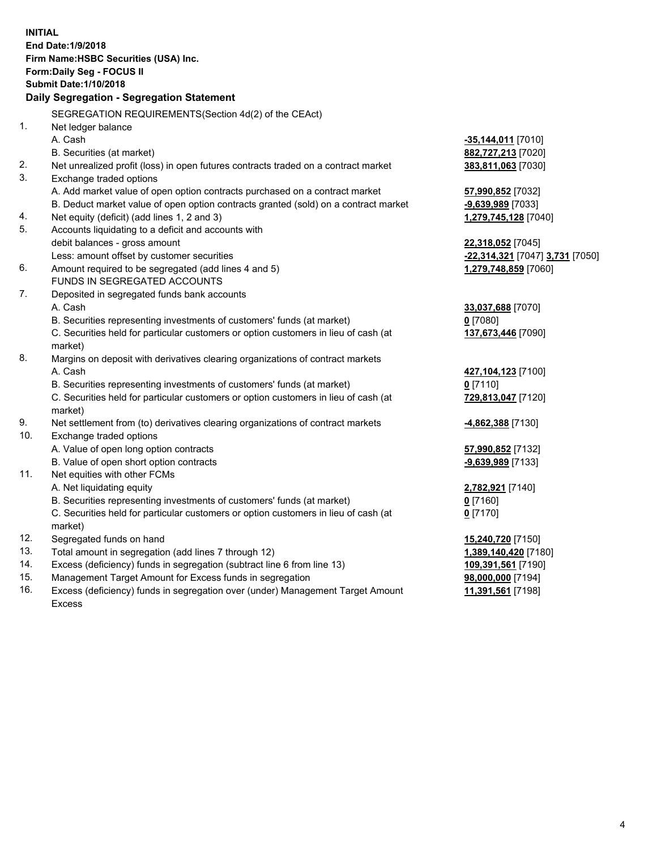| <b>INITIAL</b>                            |                                                                                                                                 |                                         |  |  |
|-------------------------------------------|---------------------------------------------------------------------------------------------------------------------------------|-----------------------------------------|--|--|
| End Date: 1/9/2018                        |                                                                                                                                 |                                         |  |  |
| Firm Name: HSBC Securities (USA) Inc.     |                                                                                                                                 |                                         |  |  |
| Form: Daily Seg - FOCUS II                |                                                                                                                                 |                                         |  |  |
| <b>Submit Date: 1/10/2018</b>             |                                                                                                                                 |                                         |  |  |
| Daily Segregation - Segregation Statement |                                                                                                                                 |                                         |  |  |
|                                           |                                                                                                                                 |                                         |  |  |
|                                           | SEGREGATION REQUIREMENTS(Section 4d(2) of the CEAct)                                                                            |                                         |  |  |
| 1.                                        | Net ledger balance                                                                                                              |                                         |  |  |
|                                           | A. Cash                                                                                                                         | <u>-35,144,011</u> [7010]               |  |  |
|                                           | B. Securities (at market)                                                                                                       | 882,727,213 [7020]                      |  |  |
| 2.                                        | Net unrealized profit (loss) in open futures contracts traded on a contract market                                              | 383,811,063 [7030]                      |  |  |
| 3.                                        | Exchange traded options                                                                                                         |                                         |  |  |
|                                           | A. Add market value of open option contracts purchased on a contract market                                                     | 57,990,852 [7032]                       |  |  |
|                                           | B. Deduct market value of open option contracts granted (sold) on a contract market                                             | -9,639,989 [7033]                       |  |  |
| 4.                                        | Net equity (deficit) (add lines 1, 2 and 3)                                                                                     | 1,279,745,128 [7040]                    |  |  |
| 5.                                        | Accounts liquidating to a deficit and accounts with                                                                             |                                         |  |  |
|                                           | debit balances - gross amount                                                                                                   | 22,318,052 [7045]                       |  |  |
|                                           | Less: amount offset by customer securities                                                                                      | -22,314,321 [7047] 3,731 [7050]         |  |  |
| 6.                                        | Amount required to be segregated (add lines 4 and 5)                                                                            | 1,279,748,859 [7060]                    |  |  |
|                                           | FUNDS IN SEGREGATED ACCOUNTS                                                                                                    |                                         |  |  |
| 7.                                        | Deposited in segregated funds bank accounts                                                                                     |                                         |  |  |
|                                           | A. Cash                                                                                                                         | 33,037,688 [7070]                       |  |  |
|                                           | B. Securities representing investments of customers' funds (at market)                                                          | $0$ [7080]                              |  |  |
|                                           | C. Securities held for particular customers or option customers in lieu of cash (at                                             | 137,673,446 [7090]                      |  |  |
|                                           | market)                                                                                                                         |                                         |  |  |
| 8.                                        | Margins on deposit with derivatives clearing organizations of contract markets                                                  |                                         |  |  |
|                                           | A. Cash                                                                                                                         | 427,104,123 [7100]                      |  |  |
|                                           | B. Securities representing investments of customers' funds (at market)                                                          | $0$ [7110]                              |  |  |
|                                           | C. Securities held for particular customers or option customers in lieu of cash (at                                             | 729,813,047 [7120]                      |  |  |
|                                           | market)                                                                                                                         |                                         |  |  |
| 9.                                        | Net settlement from (to) derivatives clearing organizations of contract markets                                                 | <u>-4,862,388</u> [7130]                |  |  |
| 10.                                       | Exchange traded options                                                                                                         |                                         |  |  |
|                                           | A. Value of open long option contracts                                                                                          | 57,990,852 [7132]                       |  |  |
|                                           | B. Value of open short option contracts                                                                                         | -9,639,989 [7133]                       |  |  |
| 11.                                       | Net equities with other FCMs                                                                                                    |                                         |  |  |
|                                           | A. Net liquidating equity                                                                                                       | 2,782,921 [7140]                        |  |  |
|                                           | B. Securities representing investments of customers' funds (at market)                                                          | 0 [7160]                                |  |  |
|                                           | C. Securities held for particular customers or option customers in lieu of cash (at                                             | $0$ [7170]                              |  |  |
|                                           | market)                                                                                                                         |                                         |  |  |
| 12.<br>13.                                | Segregated funds on hand                                                                                                        | 15,240,720 [7150]                       |  |  |
| 14.                                       | Total amount in segregation (add lines 7 through 12)<br>Excess (deficiency) funds in segregation (subtract line 6 from line 13) | 1,389,140,420 [7180]                    |  |  |
| 15.                                       | Management Target Amount for Excess funds in segregation                                                                        | 109,391,561 [7190]<br>98,000,000 [7194] |  |  |
| 16.                                       |                                                                                                                                 |                                         |  |  |
|                                           | Excess (deficiency) funds in segregation over (under) Management Target Amount                                                  | 11,391,561 [7198]                       |  |  |

16. Excess (deficiency) funds in segregation over (under) Management Target Amount Excess